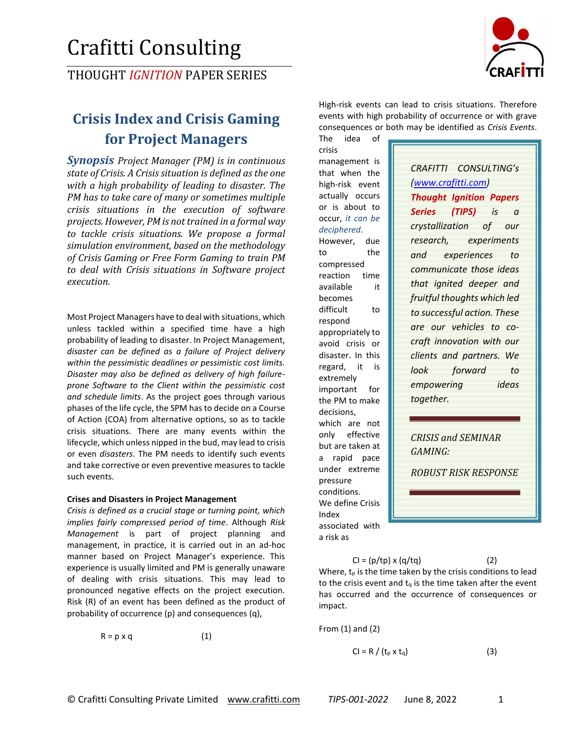# Crafitti Consulting

THOUGHT *IGNITION* PAPER SERIES

## **Crisis Index and Crisis Gaming for Project Managers**

*Synopsis Project Manager (PM) is in continuous state of Crisis. A Crisis situation is defined as the one with a high probability of leading to disaster. The PM has to take care of many or sometimes multiple crisis situations in the execution of software projects. However, PM is not trained in a formal way to tackle crisis situations. We propose a formal simulation environment, based on the methodology of Crisis Gaming or Free Form Gaming to train PM to deal with Crisis situations in Software project execution.*

Most Project Managers have to deal with situations, which unless tackled within a specified time have a high probability of leading to disaster. In Project Management, *disaster can be defined as a failure of Project delivery within the pessimistic deadlines or pessimistic cost limits. Disaster may also be defined as delivery of high failureprone Software to the Client within the pessimistic cost and schedule limits*. As the project goes through various phases of the life cycle, the SPM has to decide on a Course of Action (COA) from alternative options, so as to tackle crisis situations. There are many events within the lifecycle, which unless nipped in the bud, may lead to crisis or even *disasters*. The PM needs to identify such events and take corrective or even preventive measures to tackle such events.

#### **Crises and Disasters in Project Management**

*Crisis is defined as a crucial stage or turning point, which implies fairly compressed period of time*. Although *Risk Management* is part of project planning and management, in practice, it is carried out in an ad-hoc manner based on Project Manager's experience. This experience is usually limited and PM is generally unaware of dealing with crisis situations. This may lead to pronounced negative effects on the project execution. Risk (R) of an event has been defined as the product of probability of occurrence (p) and consequences (q),

 $R = p \times q$  (1)



High-risk events can lead to crisis situations. Therefore events with high probability of occurrence or with grave consequences or both may be identified as *Crisis Events*.

The idea of crisis management is that when the high-risk event actually occurs or is about to occur, *it can be deciphered*. However, due to the compressed reaction time available it becomes difficult to respond appropriately to avoid crisis or disaster. In this regard, it is extremely important for the PM to make decisions, which are not only effective but are taken at a rapid pace under extreme pressure conditions. We define Crisis Index associated with a risk as

*CRAFITTI CONSULTING's [\(www.crafitti.com\)](http://www.crafitti.com/) Thought Ignition Papers Series (TIPS) is a crystallization of our research, experiments and experiences to communicate those ideas that ignited deeper and fruitful thoughts which led to successful action. These are our vehicles to cocraft innovation with our clients and partners. We look forward to empowering ideas together.* 

*CRISIS and SEMINAR GAMING:*

*ROBUST RISK RESPONSE*

 $Cl = (p/tp) \times (q/tq)$  (2) Where,  $t_p$  is the time taken by the crisis conditions to lead to the crisis event and  $t<sub>0</sub>$  is the time taken after the event has occurred and the occurrence of consequences or

From (1) and (2)

impact.

$$
Cl = R / (t_p \times t_q)
$$
 (3)

© Crafitti Consulting Private Limited www.crafitti.com *TIPS-001-2022* June 8, 2022 1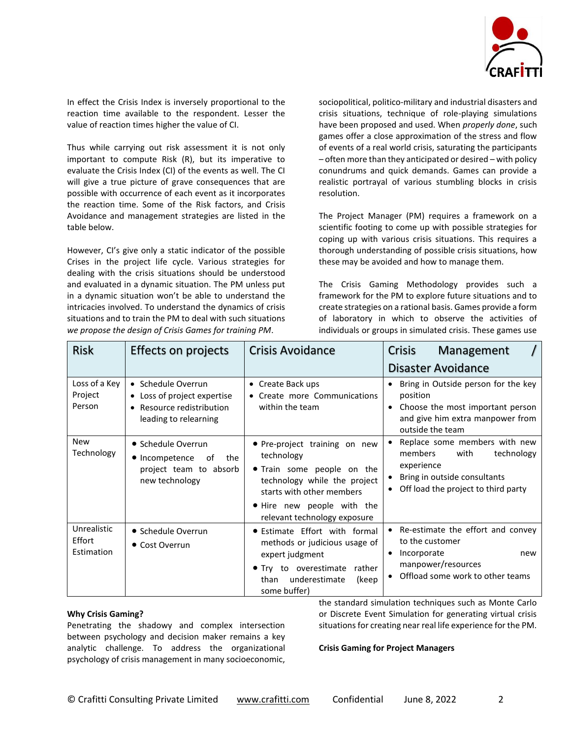

In effect the Crisis Index is inversely proportional to the reaction time available to the respondent. Lesser the value of reaction times higher the value of CI.

Thus while carrying out risk assessment it is not only important to compute Risk (R), but its imperative to evaluate the Crisis Index (CI) of the events as well. The CI will give a true picture of grave consequences that are possible with occurrence of each event as it incorporates the reaction time. Some of the Risk factors, and Crisis Avoidance and management strategies are listed in the table below.

However, CI's give only a static indicator of the possible Crises in the project life cycle. Various strategies for dealing with the crisis situations should be understood and evaluated in a dynamic situation. The PM unless put in a dynamic situation won't be able to understand the intricacies involved. To understand the dynamics of crisis situations and to train the PM to deal with such situations *we propose the design of Crisis Games for training PM*.

sociopolitical, politico-military and industrial disasters and crisis situations, technique of role-playing simulations have been proposed and used. When *properly done*, such games offer a close approximation of the stress and flow of events of a real world crisis, saturating the participants – often more than they anticipated or desired – with policy conundrums and quick demands. Games can provide a realistic portrayal of various stumbling blocks in crisis resolution.

The Project Manager (PM) requires a framework on a scientific footing to come up with possible strategies for coping up with various crisis situations. This requires a thorough understanding of possible crisis situations, how these may be avoided and how to manage them.

The Crisis Gaming Methodology provides such a framework for the PM to explore future situations and to create strategies on a rational basis. Games provide a form of laboratory in which to observe the activities of individuals or groups in simulated crisis. These games use

| <b>Risk</b>                         | <b>Effects on projects</b>                                                                                         | <b>Crisis Avoidance</b>                                                                                                                                                                              | <b>Crisis</b><br>Management                                                                                                                         |
|-------------------------------------|--------------------------------------------------------------------------------------------------------------------|------------------------------------------------------------------------------------------------------------------------------------------------------------------------------------------------------|-----------------------------------------------------------------------------------------------------------------------------------------------------|
|                                     |                                                                                                                    |                                                                                                                                                                                                      | Disaster Avoidance                                                                                                                                  |
| Loss of a Key<br>Project<br>Person  | • Schedule Overrun<br>• Loss of project expertise<br>Resource redistribution<br>$\bullet$<br>leading to relearning | • Create Back ups<br>• Create more Communications<br>within the team                                                                                                                                 | Bring in Outside person for the key<br>position<br>Choose the most important person<br>and give him extra manpower from<br>outside the team         |
| <b>New</b><br>Technology            | • Schedule Overrun<br>• Incompetence<br>the<br>of<br>project team to absorb<br>new technology                      | • Pre-project training on new<br>technology<br>• Train some people on the<br>technology while the project<br>starts with other members<br>. Hire new people with the<br>relevant technology exposure | Replace some members with new<br>members<br>with<br>technology<br>experience<br>Bring in outside consultants<br>Off load the project to third party |
| Unrealistic<br>Effort<br>Estimation | • Schedule Overrun<br>• Cost Overrun                                                                               | • Estimate Effort with formal<br>methods or judicious usage of<br>expert judgment<br>• Try to overestimate<br>rather<br>underestimate<br>than<br>(keep<br>some buffer)                               | • Re-estimate the effort and convey<br>to the customer<br>Incorporate<br>new<br>manpower/resources<br>• Offload some work to other teams            |

#### **Why Crisis Gaming?**

Penetrating the shadowy and complex intersection between psychology and decision maker remains a key analytic challenge. To address the organizational psychology of crisis management in many socioeconomic,

the standard simulation techniques such as Monte Carlo or Discrete Event Simulation for generating virtual crisis situations for creating near real life experience for the PM.

#### **Crisis Gaming for Project Managers**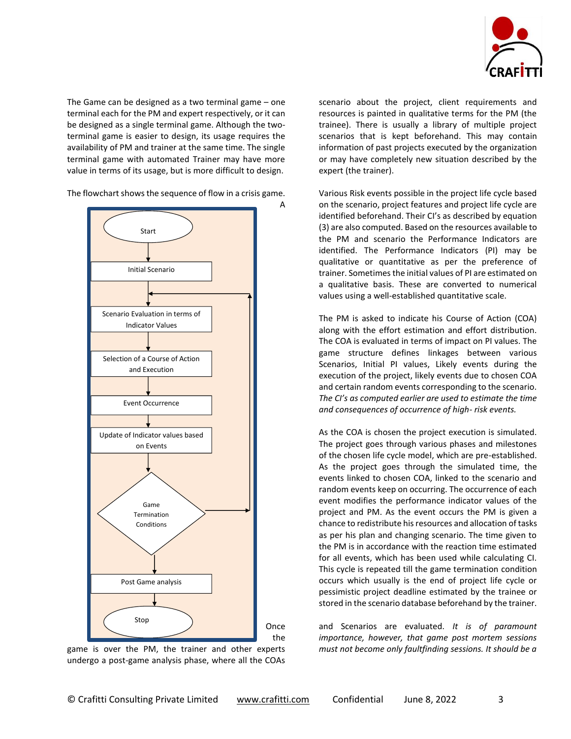

The Game can be designed as a two terminal game – one terminal each for the PM and expert respectively, or it can be designed as a single terminal game. Although the twoterminal game is easier to design, its usage requires the availability of PM and trainer at the same time. The single terminal game with automated Trainer may have more value in terms of its usage, but is more difficult to design.

The flowchart shows the sequence of flow in a crisis game.



game is over the PM, the trainer and other experts undergo a post-game analysis phase, where all the COAs

scenario about the project, client requirements and resources is painted in qualitative terms for the PM (the trainee). There is usually a library of multiple project scenarios that is kept beforehand. This may contain information of past projects executed by the organization or may have completely new situation described by the expert (the trainer).

Various Risk events possible in the project life cycle based on the scenario, project features and project life cycle are identified beforehand. Their CI's as described by equation (3) are also computed. Based on the resources available to the PM and scenario the Performance Indicators are identified. The Performance Indicators (PI) may be qualitative or quantitative as per the preference of trainer. Sometimes the initial values of PI are estimated on a qualitative basis. These are converted to numerical values using a well-established quantitative scale.

The PM is asked to indicate his Course of Action (COA) along with the effort estimation and effort distribution. The COA is evaluated in terms of impact on PI values. The game structure defines linkages between various Scenarios, Initial PI values, Likely events during the execution of the project, likely events due to chosen COA and certain random events corresponding to the scenario. *The CI's as computed earlier are used to estimate the time and consequences of occurrence of high- risk events.*

As the COA is chosen the project execution is simulated. The project goes through various phases and milestones of the chosen life cycle model, which are pre-established. As the project goes through the simulated time, the events linked to chosen COA, linked to the scenario and random events keep on occurring. The occurrence of each event modifies the performance indicator values of the project and PM. As the event occurs the PM is given a chance to redistribute his resources and allocation of tasks as per his plan and changing scenario. The time given to the PM is in accordance with the reaction time estimated for all events, which has been used while calculating CI. This cycle is repeated till the game termination condition occurs which usually is the end of project life cycle or pessimistic project deadline estimated by the trainee or stored in the scenario database beforehand by the trainer.

and Scenarios are evaluated. *It is of paramount importance, however, that game post mortem sessions must not become only faultfinding sessions. It should be a*